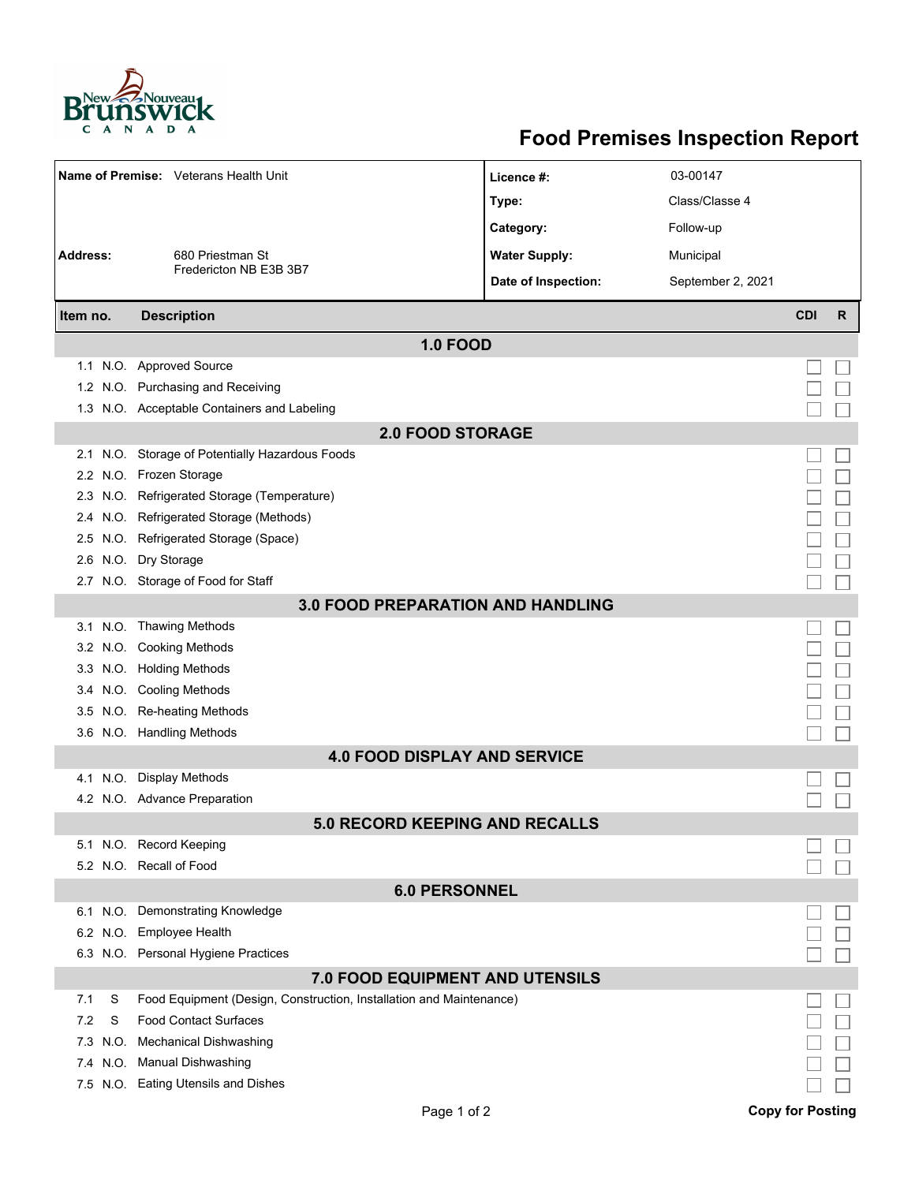

## **Food Premises Inspection Report**

|                                          | Name of Premise: Veterans Health Unit                                    | Licence #:           | 03-00147          |            |   |  |  |  |  |
|------------------------------------------|--------------------------------------------------------------------------|----------------------|-------------------|------------|---|--|--|--|--|
|                                          |                                                                          | Type:                | Class/Classe 4    |            |   |  |  |  |  |
|                                          |                                                                          | Category:            | Follow-up         |            |   |  |  |  |  |
|                                          |                                                                          |                      |                   |            |   |  |  |  |  |
| Address:                                 | 680 Priestman St<br>Fredericton NB E3B 3B7                               | <b>Water Supply:</b> | Municipal         |            |   |  |  |  |  |
|                                          |                                                                          | Date of Inspection:  | September 2, 2021 |            |   |  |  |  |  |
| Item no.                                 | <b>Description</b>                                                       |                      |                   | <b>CDI</b> | R |  |  |  |  |
| <b>1.0 FOOD</b>                          |                                                                          |                      |                   |            |   |  |  |  |  |
|                                          | 1.1 N.O. Approved Source                                                 |                      |                   |            |   |  |  |  |  |
|                                          | 1.2 N.O. Purchasing and Receiving                                        |                      |                   |            |   |  |  |  |  |
|                                          | 1.3 N.O. Acceptable Containers and Labeling                              |                      |                   |            |   |  |  |  |  |
| <b>2.0 FOOD STORAGE</b>                  |                                                                          |                      |                   |            |   |  |  |  |  |
|                                          | 2.1 N.O. Storage of Potentially Hazardous Foods                          |                      |                   |            |   |  |  |  |  |
|                                          | 2.2 N.O. Frozen Storage                                                  |                      |                   |            |   |  |  |  |  |
|                                          | 2.3 N.O. Refrigerated Storage (Temperature)                              |                      |                   |            |   |  |  |  |  |
|                                          | 2.4 N.O. Refrigerated Storage (Methods)                                  |                      |                   |            |   |  |  |  |  |
|                                          | 2.5 N.O. Refrigerated Storage (Space)                                    |                      |                   |            |   |  |  |  |  |
|                                          | 2.6 N.O. Dry Storage                                                     |                      |                   |            |   |  |  |  |  |
|                                          | 2.7 N.O. Storage of Food for Staff                                       |                      |                   |            |   |  |  |  |  |
| <b>3.0 FOOD PREPARATION AND HANDLING</b> |                                                                          |                      |                   |            |   |  |  |  |  |
|                                          | 3.1 N.O. Thawing Methods                                                 |                      |                   |            |   |  |  |  |  |
|                                          | 3.2 N.O. Cooking Methods                                                 |                      |                   |            |   |  |  |  |  |
|                                          | 3.3 N.O. Holding Methods                                                 |                      |                   |            |   |  |  |  |  |
|                                          | 3.4 N.O. Cooling Methods                                                 |                      |                   |            |   |  |  |  |  |
|                                          | 3.5 N.O. Re-heating Methods                                              |                      |                   |            |   |  |  |  |  |
|                                          | 3.6 N.O. Handling Methods                                                |                      |                   |            |   |  |  |  |  |
|                                          | <b>4.0 FOOD DISPLAY AND SERVICE</b>                                      |                      |                   |            |   |  |  |  |  |
|                                          | 4.1 N.O. Display Methods                                                 |                      |                   |            |   |  |  |  |  |
|                                          | 4.2 N.O. Advance Preparation                                             |                      |                   |            |   |  |  |  |  |
|                                          | <b>5.0 RECORD KEEPING AND RECALLS</b>                                    |                      |                   |            |   |  |  |  |  |
|                                          | 5.1 N.O. Record Keeping                                                  |                      |                   |            |   |  |  |  |  |
|                                          | 5.2 N.O. Recall of Food                                                  |                      |                   |            |   |  |  |  |  |
| <b>6.0 PERSONNEL</b>                     |                                                                          |                      |                   |            |   |  |  |  |  |
|                                          | 6.1 N.O. Demonstrating Knowledge                                         |                      |                   |            |   |  |  |  |  |
|                                          | 6.2 N.O. Employee Health                                                 |                      |                   |            |   |  |  |  |  |
|                                          | 6.3 N.O. Personal Hygiene Practices                                      |                      |                   |            |   |  |  |  |  |
| <b>7.0 FOOD EQUIPMENT AND UTENSILS</b>   |                                                                          |                      |                   |            |   |  |  |  |  |
| 7.1                                      | S<br>Food Equipment (Design, Construction, Installation and Maintenance) |                      |                   |            |   |  |  |  |  |
| 7.2                                      | <b>Food Contact Surfaces</b><br>S                                        |                      |                   |            |   |  |  |  |  |
| 7.3                                      | <b>Mechanical Dishwashing</b><br>N.O.                                    |                      |                   |            |   |  |  |  |  |
|                                          | 7.4 N.O. Manual Dishwashing                                              |                      |                   |            |   |  |  |  |  |
|                                          | 7.5 N.O. Eating Utensils and Dishes                                      |                      |                   |            |   |  |  |  |  |